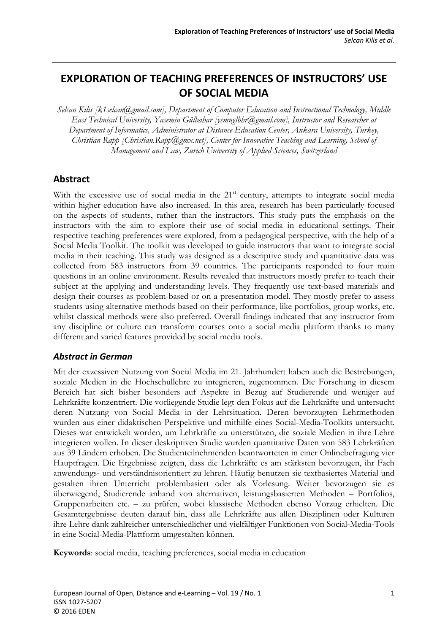# **EXPLORATION OF TEACHING PREFERENCES OF INSTRUCTORS' USE OF SOCIAL MEDIA**

*Selcan Kilis [k1selcan@gmail.com], Department of Computer Education and Instructional Technology, Middle East Technical University, Yasemin Gülbahar [ysmnglbhr@gmail.com], Instructor and Researcher at Department of Informatics, Administrator at Distance Education Center, Ankara University, Turkey, Christian Rapp [Christian.Rapp@gmx.net], Center for Innovative Teaching and Learning, School of Management and Law, Zurich University of Applied Sciences, Switzerland* 

# **Abstract**

With the excessive use of social media in the  $21<sup>st</sup>$  century, attempts to integrate social media within higher education have also increased. In this area, research has been particularly focused on the aspects of students, rather than the instructors. This study puts the emphasis on the instructors with the aim to explore their use of social media in educational settings. Their respective teaching preferences were explored, from a pedagogical perspective, with the help of a Social Media Toolkit. The toolkit was developed to guide instructors that want to integrate social media in their teaching. This study was designed as a descriptive study and quantitative data was collected from 583 instructors from 39 countries. The participants responded to four main questions in an online environment. Results revealed that instructors mostly prefer to teach their subject at the applying and understanding levels. They frequently use text-based materials and design their courses as problem-based or on a presentation model. They mostly prefer to assess students using alternative methods based on their performance, like portfolios, group works, etc. whilst classical methods were also preferred. Overall findings indicated that any instructor from any discipline or culture can transform courses onto a social media platform thanks to many different and varied features provided by social media tools.

# *Abstract in German*

Mit der exzessiven Nutzung von Social Media im 21. Jahrhundert haben auch die Bestrebungen, soziale Medien in die Hochschullehre zu integrieren, zugenommen. Die Forschung in diesem Bereich hat sich bisher besonders auf Aspekte in Bezug auf Studierende und weniger auf Lehrkräfte konzentriert. Die vorliegende Studie legt den Fokus auf die Lehrkräfte und untersucht deren Nutzung von Social Media in der Lehrsituation. Deren bevorzugten Lehrmethoden wurden aus einer didaktischen Perspektive und mithilfe eines Social-Media-Toolkits untersucht. Dieses war entwickelt worden, um Lehrkräfte zu unterstützen, die soziale Medien in ihre Lehre integrieren wollen. In dieser deskriptiven Studie wurden quantitative Daten von 583 Lehrkräften aus 39 Ländern erhoben. Die Studienteilnehmenden beantworteten in einer Onlinebefragung vier Hauptfragen. Die Ergebnisse zeigten, dass die Lehrkräfte es am stärksten bevorzugen, ihr Fach anwendungs- und verständnisorientiert zu lehren. Häufig benutzen sie textbasiertes Material und gestalten ihren Unterricht problembasiert oder als Vorlesung. Weiter bevorzugen sie es überwiegend, Studierende anhand von alternativen, leistungsbasierten Methoden – Portfolios, Gruppenarbeiten etc. – zu prüfen, wobei klassische Methoden ebenso Vorzug erhielten. Die Gesamtergebnisse deuten darauf hin, dass alle Lehrkräfte aus allen Disziplinen oder Kulturen ihre Lehre dank zahlreicher unterschiedlicher und vielfältiger Funktionen von Social-Media-Tools in eine Social-Media-Plattform umgestalten können.

**Keywords**: social media, teaching preferences, social media in education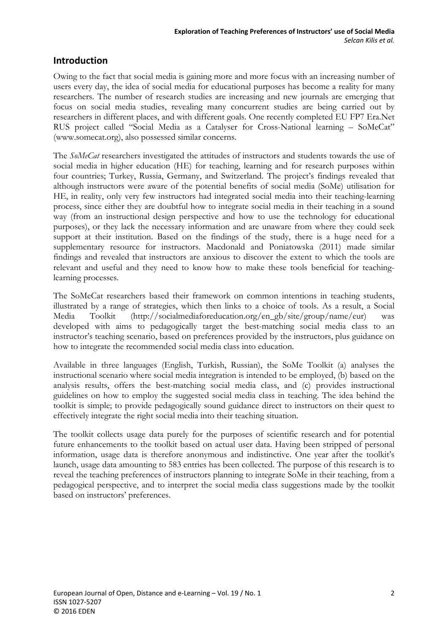# **Introduction**

Owing to the fact that social media is gaining more and more focus with an increasing number of users every day, the idea of social media for educational purposes has become a reality for many researchers. The number of research studies are increasing and new journals are emerging that focus on social media studies, revealing many concurrent studies are being carried out by researchers in different places, and with different goals. One recently completed EU FP7 Era.Net RUS project called "Social Media as a Catalyser for Cross-National learning – SoMeCat" (www.somecat.org), also possessed similar concerns.

The *SoMeCat* researchers investigated the attitudes of instructors and students towards the use of social media in higher education (HE) for teaching, learning and for research purposes within four countries; Turkey, Russia, Germany, and Switzerland. The project's findings revealed that although instructors were aware of the potential benefits of social media (SoMe) utilisation for HE, in reality, only very few instructors had integrated social media into their teaching-learning process, since either they are doubtful how to integrate social media in their teaching in a sound way (from an instructional design perspective and how to use the technology for educational purposes), or they lack the necessary information and are unaware from where they could seek support at their institution. Based on the findings of the study, there is a huge need for a supplementary resource for instructors. Macdonald and Poniatowska (2011) made similar findings and revealed that instructors are anxious to discover the extent to which the tools are relevant and useful and they need to know how to make these tools beneficial for teachinglearning processes.

The SoMeCat researchers based their framework on common intentions in teaching students, illustrated by a range of strategies, which then links to a choice of tools. As a result, a Social Media Toolkit (http://socialmediaforeducation.org/en\_gb/site/group/name/eur) was developed with aims to pedagogically target the best-matching social media class to an instructor's teaching scenario, based on preferences provided by the instructors, plus guidance on how to integrate the recommended social media class into education.

Available in three languages (English, Turkish, Russian), the SoMe Toolkit (a) analyses the instructional scenario where social media integration is intended to be employed, (b) based on the analysis results, offers the best-matching social media class, and (c) provides instructional guidelines on how to employ the suggested social media class in teaching. The idea behind the toolkit is simple; to provide pedagogically sound guidance direct to instructors on their quest to effectively integrate the right social media into their teaching situation.

The toolkit collects usage data purely for the purposes of scientific research and for potential future enhancements to the toolkit based on actual user data. Having been stripped of personal information, usage data is therefore anonymous and indistinctive. One year after the toolkit's launch, usage data amounting to 583 entries has been collected. The purpose of this research is to reveal the teaching preferences of instructors planning to integrate SoMe in their teaching, from a pedagogical perspective, and to interpret the social media class suggestions made by the toolkit based on instructors' preferences.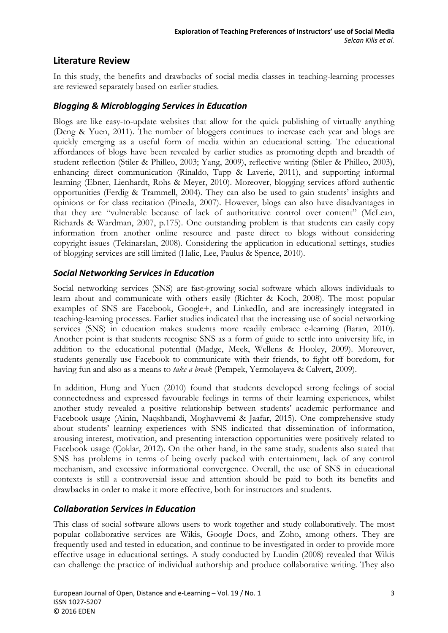# **Literature Review**

In this study, the benefits and drawbacks of social media classes in teaching-learning processes are reviewed separately based on earlier studies.

# *Blogging & Microblogging Services in Education*

Blogs are like easy-to-update websites that allow for the quick publishing of virtually anything (Deng & Yuen, 2011). The number of bloggers continues to increase each year and blogs are quickly emerging as a useful form of media within an educational setting. The educational affordances of blogs have been revealed by earlier studies as promoting depth and breadth of student reflection (Stiler & Philleo, 2003; Yang, 2009), reflective writing (Stiler & Philleo, 2003), enhancing direct communication (Rinaldo, Tapp & Laverie, 2011), and supporting informal learning (Ebner, Lienhardt, Rohs & Meyer, 2010). Moreover, blogging services afford authentic opportunities (Ferdig & Trammell, 2004). They can also be used to gain students' insights and opinions or for class recitation (Pineda, 2007). However, blogs can also have disadvantages in that they are "vulnerable because of lack of authoritative control over content" (McLean, Richards & Wardman, 2007, p.175). One outstanding problem is that students can easily copy information from another online resource and paste direct to blogs without considering copyright issues (Tekinarslan, 2008). Considering the application in educational settings, studies of blogging services are still limited (Halic, Lee, Paulus & Spence, 2010).

# *Social Networking Services in Education*

Social networking services (SNS) are fast-growing social software which allows individuals to learn about and communicate with others easily (Richter & Koch, 2008). The most popular examples of SNS are Facebook, Google+, and LinkedIn, and are increasingly integrated in teaching-learning processes. Earlier studies indicated that the increasing use of social networking services (SNS) in education makes students more readily embrace e-learning (Baran, 2010). Another point is that students recognise SNS as a form of guide to settle into university life, in addition to the educational potential (Madge, Meek, Wellens & Hooley, 2009). Moreover, students generally use Facebook to communicate with their friends, to fight off boredom, for having fun and also as a means to *take a break* (Pempek, Yermolayeva & Calvert, 2009).

In addition, Hung and Yuen (2010) found that students developed strong feelings of social connectedness and expressed favourable feelings in terms of their learning experiences, whilst another study revealed a positive relationship between students' academic performance and Facebook usage (Ainin, Naqshbandi, Moghavvemi & Jaafar, 2015). One comprehensive study about students' learning experiences with SNS indicated that dissemination of information, arousing interest, motivation, and presenting interaction opportunities were positively related to Facebook usage (Çoklar, 2012). On the other hand, in the same study, students also stated that SNS has problems in terms of being overly packed with entertainment, lack of any control mechanism, and excessive informational convergence. Overall, the use of SNS in educational contexts is still a controversial issue and attention should be paid to both its benefits and drawbacks in order to make it more effective, both for instructors and students.

# *Collaboration Services in Education*

This class of social software allows users to work together and study collaboratively. The most popular collaborative services are Wikis, Google Docs, and Zoho, among others. They are frequently used and tested in education, and continue to be investigated in order to provide more effective usage in educational settings. A study conducted by Lundin (2008) revealed that Wikis can challenge the practice of individual authorship and produce collaborative writing. They also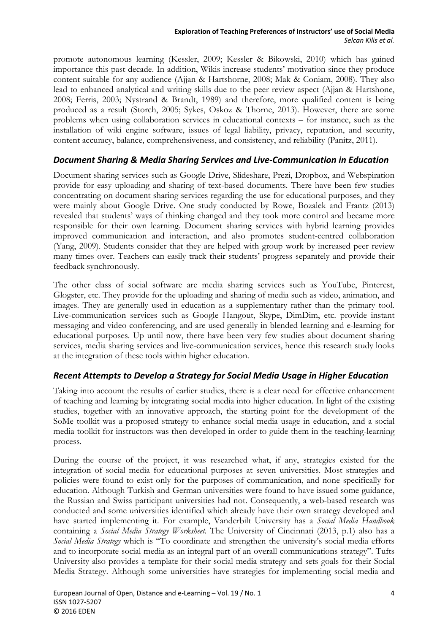promote autonomous learning (Kessler, 2009; Kessler & Bikowski, 2010) which has gained importance this past decade. In addition, Wikis increase students' motivation since they produce content suitable for any audience (Ajjan & Hartshorne, 2008; Mak & Coniam, 2008). They also lead to enhanced analytical and writing skills due to the peer review aspect (Ajjan & Hartshone, 2008; Ferris, 2003; Nystrand & Brandt, 1989) and therefore, more qualified content is being produced as a result (Storch, 2005; Sykes, Oskoz & Thorne, 2013). However, there are some problems when using collaboration services in educational contexts – for instance, such as the installation of wiki engine software, issues of legal liability, privacy, reputation, and security, content accuracy, balance, comprehensiveness, and consistency, and reliability (Panitz, 2011).

### *Document Sharing & Media Sharing Services and Live-Communication in Education*

Document sharing services such as Google Drive, Slideshare, Prezi, Dropbox, and Webspiration provide for easy uploading and sharing of text-based documents. There have been few studies concentrating on document sharing services regarding the use for educational purposes, and they were mainly about Google Drive. One study conducted by Rowe, Bozalek and Frantz (2013) revealed that students' ways of thinking changed and they took more control and became more responsible for their own learning. Document sharing services with hybrid learning provides improved communication and interaction, and also promotes student-centred collaboration (Yang, 2009). Students consider that they are helped with group work by increased peer review many times over. Teachers can easily track their students' progress separately and provide their feedback synchronously.

The other class of social software are media sharing services such as YouTube, Pinterest, Glogster, etc. They provide for the uploading and sharing of media such as video, animation, and images. They are generally used in education as a supplementary rather than the primary tool. Live-communication services such as Google Hangout, Skype, DimDim, etc. provide instant messaging and video conferencing, and are used generally in blended learning and e-learning for educational purposes. Up until now, there have been very few studies about document sharing services, media sharing services and live-communication services, hence this research study looks at the integration of these tools within higher education.

# *Recent Attempts to Develop a Strategy for Social Media Usage in Higher Education*

Taking into account the results of earlier studies, there is a clear need for effective enhancement of teaching and learning by integrating social media into higher education. In light of the existing studies, together with an innovative approach, the starting point for the development of the SoMe toolkit was a proposed strategy to enhance social media usage in education, and a social media toolkit for instructors was then developed in order to guide them in the teaching-learning process.

During the course of the project, it was researched what, if any, strategies existed for the integration of social media for educational purposes at seven universities. Most strategies and policies were found to exist only for the purposes of communication, and none specifically for education. Although Turkish and German universities were found to have issued some guidance, the Russian and Swiss participant universities had not. Consequently, a web-based research was conducted and some universities identified which already have their own strategy developed and have started implementing it. For example, Vanderbilt University has a *Social Media Handbook* containing a *Social Media Strategy Worksheet*. The University of Cincinnati (2013, p.1) also has a *Social Media Strategy* which is "To coordinate and strengthen the university's social media efforts and to incorporate social media as an integral part of an overall communications strategy". Tufts University also provides a template for their social media strategy and sets goals for their Social Media Strategy. Although some universities have strategies for implementing social media and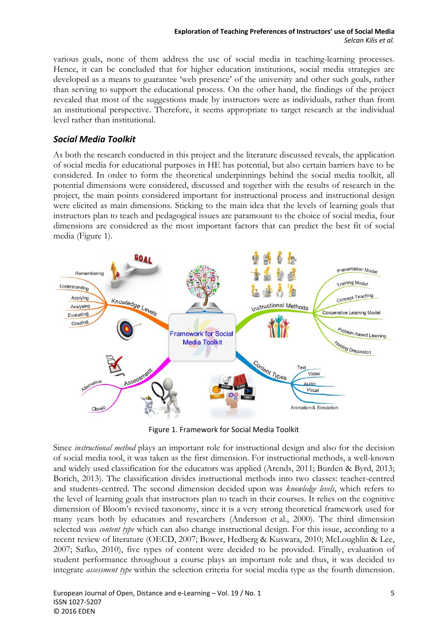various goals, none of them address the use of social media in teaching-learning processes. Hence, it can be concluded that for higher education institutions, social media strategies are developed as a means to guarantee 'web presence' of the university and other such goals, rather than serving to support the educational process. On the other hand, the findings of the project revealed that most of the suggestions made by instructors were as individuals, rather than from an institutional perspective. Therefore, it seems appropriate to target research at the individual level rather than institutional.

### *Social Media Toolkit*

As both the research conducted in this project and the literature discussed reveals, the application of social media for educational purposes in HE has potential, but also certain barriers have to be considered. In order to form the theoretical underpinnings behind the social media toolkit, all potential dimensions were considered, discussed and together with the results of research in the project, the main points considered important for instructional process and instructional design were elicited as main dimensions. Sticking to the main idea that the levels of learning goals that instructors plan to teach and pedagogical issues are paramount to the choice of social media, four dimensions are considered as the most important factors that can predict the best fit of social media (Figure 1).



Figure 1. Framework for Social Media Toolkit

Since *instructional method* plays an important role for instructional design and also for the decision of social media tool, it was taken as the first dimension. For instructional methods, a well-known and widely used classification for the educators was applied (Arends, 2011; Burden & Byrd, 2013; Borich, 2013). The classification divides instructional methods into two classes: teacher-centred and students-centred. The second dimension decided upon was *knowledge levels*, which refers to the level of learning goals that instructors plan to teach in their courses. It relies on the cognitive dimension of Bloom's revised taxonomy, since it is a very strong theoretical framework used for many years both by educators and researchers (Anderson et al., 2000). The third dimension selected was *content type* which can also change instructional design. For this issue, according to a recent review of literature (OECD, 2007; Bower, Hedberg & Kuswara, 2010; McLoughlin & Lee, 2007; Safko, 2010), five types of content were decided to be provided. Finally, evaluation of student performance throughout a course plays an important role and thus, it was decided to integrate *assessment type* within the selection criteria for social media type as the fourth dimension.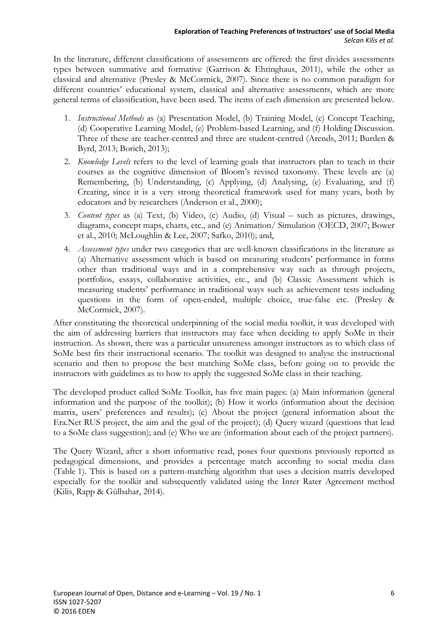In the literature, different classifications of assessments are offered: the first divides assessments types between summative and formative (Garrison & Ehringhaus, 2011), while the other as classical and alternative (Presley & McCormick, 2007). Since there is no common paradigm for different countries' educational system, classical and alternative assessments, which are more general terms of classification, have been used. The items of each dimension are presented below.

- 1. *Instructional Methods* as (a) Presentation Model, (b) Training Model, (c) Concept Teaching, (d) Cooperative Learning Model, (e) Problem-based Learning, and (f) Holding Discussion. Three of these are teacher-centred and three are student-centred (Arends, 2011; Burden & Byrd, 2013; Borich, 2013);
- 2. *Knowledge Levels* refers to the level of learning goals that instructors plan to teach in their courses as the cognitive dimension of Bloom's revised taxonomy. These levels are (a) Remembering, (b) Understanding, (c) Applying, (d) Analysing, (e) Evaluating, and (f) Creating, since it is a very strong theoretical framework used for many years, both by educators and by researchers (Anderson et al., 2000);
- 3. *Content types* as (a) Text, (b) Video, (c) Audio, (d) Visual such as pictures, drawings, diagrams, concept maps, charts, etc., and (e) Animation/ Simulation (OECD, 2007; Bower et al., 2010; McLoughlin & Lee, 2007; Safko, 2010); and,
- 4. *Assessment types* under two categories that are well-known classifications in the literature as (a) Alternative assessment which is based on measuring students' performance in forms other than traditional ways and in a comprehensive way such as through projects, portfolios, essays, collaborative activities, etc., and (b) Classic Assessment which is measuring students' performance in traditional ways such as achievement tests including questions in the form of open-ended, multiple choice, true-false etc. (Presley & McCormick, 2007).

After constituting the theoretical underpinning of the social media toolkit, it was developed with the aim of addressing barriers that instructors may face when deciding to apply SoMe in their instruction. As shown, there was a particular unsureness amongst instructors as to which class of SoMe best fits their instructional scenario. The toolkit was designed to analyse the instructional scenario and then to propose the best matching SoMe class, before going on to provide the instructors with guidelines as to how to apply the suggested SoMe class in their teaching.

The developed product called SoMe Toolkit, has five main pages: (a) Main information (general information and the purpose of the toolkit); (b) How it works (information about the decision matrix, users' preferences and results); (c) About the project (general information about the Era.Net RUS project, the aim and the goal of the project); (d) Query wizard (questions that lead to a SoMe class suggestion); and (e) Who we are (information about each of the project partners).

The Query Wizard, after a short informative read, poses four questions previously reported as pedagogical dimensions, and provides a percentage match according to social media class (Table 1). This is based on a pattern-matching algorithm that uses a decision matrix developed especially for the toolkit and subsequently validated using the Inter Rater Agreement method (Kilis, Rapp & Gülbahar, 2014).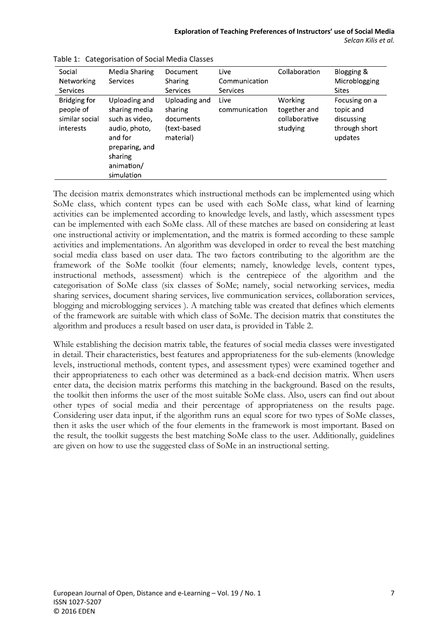| Social                                                          | Media Sharing                                                                                                                         | Document                                                          | Live                  | Collaboration                                               | Blogging &                                                           |
|-----------------------------------------------------------------|---------------------------------------------------------------------------------------------------------------------------------------|-------------------------------------------------------------------|-----------------------|-------------------------------------------------------------|----------------------------------------------------------------------|
| Networking                                                      | Services                                                                                                                              | <b>Sharing</b>                                                    | Communication         |                                                             | Microblogging                                                        |
| Services                                                        |                                                                                                                                       | <b>Services</b>                                                   | <b>Services</b>       |                                                             | <b>Sites</b>                                                         |
| <b>Bridging for</b><br>people of<br>similar social<br>interests | Uploading and<br>sharing media<br>such as video,<br>audio, photo,<br>and for<br>preparing, and<br>sharing<br>animation/<br>simulation | Uploading and<br>sharing<br>documents<br>(text-based<br>material) | Live<br>communication | <b>Working</b><br>together and<br>collaborative<br>studying | Focusing on a<br>topic and<br>discussing<br>through short<br>updates |

Table 1: Categorisation of Social Media Classes

The decision matrix demonstrates which instructional methods can be implemented using which SoMe class, which content types can be used with each SoMe class, what kind of learning activities can be implemented according to knowledge levels, and lastly, which assessment types can be implemented with each SoMe class. All of these matches are based on considering at least one instructional activity or implementation, and the matrix is formed according to these sample activities and implementations. An algorithm was developed in order to reveal the best matching social media class based on user data. The two factors contributing to the algorithm are the framework of the SoMe toolkit (four elements; namely, knowledge levels, content types, instructional methods, assessment) which is the centrepiece of the algorithm and the categorisation of SoMe class (six classes of SoMe; namely, social networking services, media sharing services, document sharing services, live communication services, collaboration services, blogging and microblogging services ). A matching table was created that defines which elements of the framework are suitable with which class of SoMe. The decision matrix that constitutes the algorithm and produces a result based on user data, is provided in Table 2.

While establishing the decision matrix table, the features of social media classes were investigated in detail. Their characteristics, best features and appropriateness for the sub-elements (knowledge levels, instructional methods, content types, and assessment types) were examined together and their appropriateness to each other was determined as a back-end decision matrix. When users enter data, the decision matrix performs this matching in the background. Based on the results, the toolkit then informs the user of the most suitable SoMe class. Also, users can find out about other types of social media and their percentage of appropriateness on the results page. Considering user data input, if the algorithm runs an equal score for two types of SoMe classes, then it asks the user which of the four elements in the framework is most important. Based on the result, the toolkit suggests the best matching SoMe class to the user. Additionally, guidelines are given on how to use the suggested class of SoMe in an instructional setting.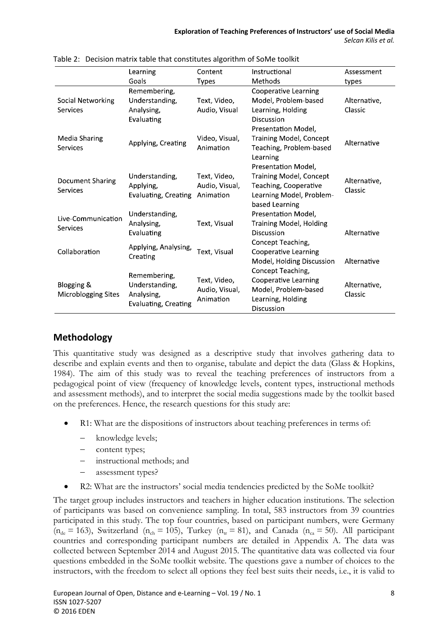|                                          | Learning                                                             | Content                                     | Instructional                                                                                          | Assessment              |
|------------------------------------------|----------------------------------------------------------------------|---------------------------------------------|--------------------------------------------------------------------------------------------------------|-------------------------|
|                                          | Goals                                                                | <b>Types</b>                                | Methods                                                                                                | types                   |
| Social Networking<br><b>Services</b>     | Remembering,<br>Understanding,<br>Analysing,<br>Evaluating           | Text, Video,<br>Audio, Visual               | Cooperative Learning<br>Model, Problem-based<br>Learning, Holding<br>Discussion<br>Presentation Model, | Alternative,<br>Classic |
| Media Sharing<br>Services                | Applying, Creating                                                   | Video, Visual,<br>Animation                 | <b>Training Model, Concept</b><br>Teaching, Problem-based<br>Learning<br>Presentation Model,           | Alternative             |
| Document Sharing<br><b>Services</b>      | Understanding,<br>Applying,<br>Evaluating, Creating                  | Text, Video,<br>Audio, Visual,<br>Animation | <b>Training Model, Concept</b><br>Teaching, Cooperative<br>Learning Model, Problem-<br>based Learning  | Alternative,<br>Classic |
| Live-Communication<br>Services           | Understanding,<br>Analysing,<br>Evaluating                           | Text, Visual                                | Presentation Model,<br><b>Training Model, Holding</b><br>Discussion                                    | Alternative             |
| Collaboration                            | Applying, Analysing,<br>Creating                                     | Text, Visual                                | Concept Teaching,<br>Cooperative Learning<br>Model, Holding Discussion                                 | Alternative             |
| Blogging &<br><b>Microblogging Sites</b> | Remembering,<br>Understanding,<br>Analysing,<br>Evaluating, Creating | Text, Video,<br>Audio, Visual,<br>Animation | Concept Teaching,<br>Cooperative Learning<br>Model, Problem-based<br>Learning, Holding<br>Discussion   | Alternative,<br>Classic |

Table 2: Decision matrix table that constitutes algorithm of SoMe toolkit

# **Methodology**

This quantitative study was designed as a descriptive study that involves gathering data to describe and explain events and then to organise, tabulate and depict the data (Glass & Hopkins, 1984). The aim of this study was to reveal the teaching preferences of instructors from a pedagogical point of view (frequency of knowledge levels, content types, instructional methods and assessment methods), and to interpret the social media suggestions made by the toolkit based on the preferences. Hence, the research questions for this study are:

- R1: What are the dispositions of instructors about teaching preferences in terms of:
	- knowledge levels;
	- content types;
	- instructional methods; and
	- assessment types?
- R2: What are the instructors' social media tendencies predicted by the SoMe toolkit?

The target group includes instructors and teachers in higher education institutions. The selection of participants was based on convenience sampling. In total, 583 instructors from 39 countries participated in this study. The top four countries, based on participant numbers, were Germany  $(n_{de} = 163)$ , Switzerland  $(n_{ch} = 105)$ , Turkey  $(n_{tr} = 81)$ , and Canada  $(n_{ca} = 50)$ . All participant countries and corresponding participant numbers are detailed in Appendix A. The data was collected between September 2014 and August 2015. The quantitative data was collected via four questions embedded in the SoMe toolkit website. The questions gave a number of choices to the instructors, with the freedom to select all options they feel best suits their needs, i.e., it is valid to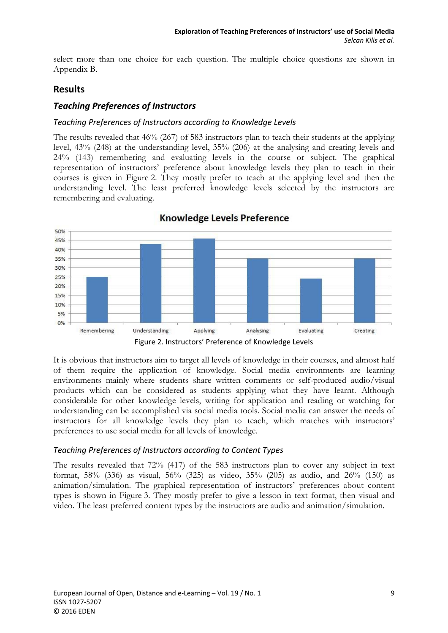select more than one choice for each question. The multiple choice questions are shown in Appendix B.

### **Results**

### *Teaching Preferences of Instructors*

#### *Teaching Preferences of Instructors according to Knowledge Levels*

The results revealed that 46% (267) of 583 instructors plan to teach their students at the applying level, 43% (248) at the understanding level, 35% (206) at the analysing and creating levels and 24% (143) remembering and evaluating levels in the course or subject. The graphical representation of instructors' preference about knowledge levels they plan to teach in their courses is given in Figure 2. They mostly prefer to teach at the applying level and then the understanding level. The least preferred knowledge levels selected by the instructors are remembering and evaluating.



**Knowledge Levels Preference** 

It is obvious that instructors aim to target all levels of knowledge in their courses, and almost half of them require the application of knowledge. Social media environments are learning environments mainly where students share written comments or self-produced audio/visual products which can be considered as students applying what they have learnt. Although considerable for other knowledge levels, writing for application and reading or watching for understanding can be accomplished via social media tools. Social media can answer the needs of instructors for all knowledge levels they plan to teach, which matches with instructors' preferences to use social media for all levels of knowledge.

#### *Teaching Preferences of Instructors according to Content Types*

The results revealed that 72% (417) of the 583 instructors plan to cover any subject in text format, 58% (336) as visual, 56% (325) as video, 35% (205) as audio, and 26% (150) as animation/simulation. The graphical representation of instructors' preferences about content types is shown in Figure 3. They mostly prefer to give a lesson in text format, then visual and video. The least preferred content types by the instructors are audio and animation/simulation.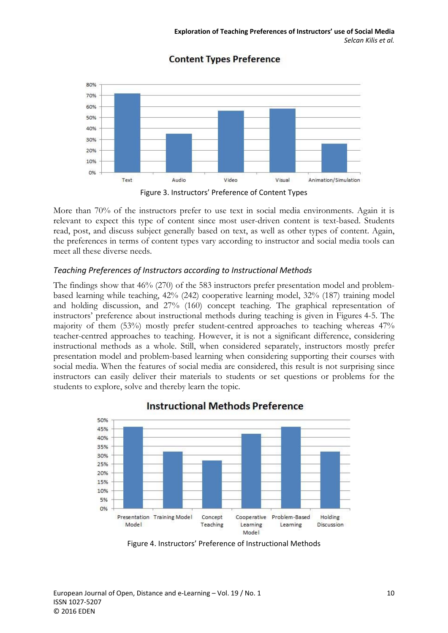#### 80% 70% 60% 50% 40% 30% 20% 10% 0% Text Audio Video Visual Animation/Simulation

#### **Content Types Preference**



More than 70% of the instructors prefer to use text in social media environments. Again it is relevant to expect this type of content since most user-driven content is text-based. Students read, post, and discuss subject generally based on text, as well as other types of content. Again, the preferences in terms of content types vary according to instructor and social media tools can meet all these diverse needs.

### *Teaching Preferences of Instructors according to Instructional Methods*

The findings show that 46% (270) of the 583 instructors prefer presentation model and problembased learning while teaching, 42% (242) cooperative learning model, 32% (187) training model and holding discussion, and 27% (160) concept teaching. The graphical representation of instructors' preference about instructional methods during teaching is given in Figures 4-5. The majority of them (53%) mostly prefer student-centred approaches to teaching whereas 47% teacher-centred approaches to teaching. However, it is not a significant difference, considering instructional methods as a whole. Still, when considered separately, instructors mostly prefer presentation model and problem-based learning when considering supporting their courses with social media. When the features of social media are considered, this result is not surprising since instructors can easily deliver their materials to students or set questions or problems for the students to explore, solve and thereby learn the topic.



# **Instructional Methods Preference**

Figure 4. Instructors' Preference of Instructional Methods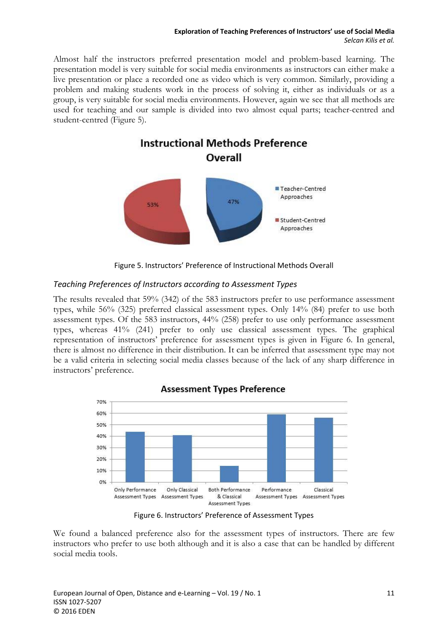#### **Exploration of Teaching Preferences of Instructors' use of Social Media**  *Selcan Kilis et al.*

Almost half the instructors preferred presentation model and problem-based learning. The presentation model is very suitable for social media environments as instructors can either make a live presentation or place a recorded one as video which is very common. Similarly, providing a problem and making students work in the process of solving it, either as individuals or as a group, is very suitable for social media environments. However, again we see that all methods are used for teaching and our sample is divided into two almost equal parts; teacher-centred and student-centred (Figure 5).



Figure 5. Instructors' Preference of Instructional Methods Overall

#### *Teaching Preferences of Instructors according to Assessment Types*

The results revealed that 59% (342) of the 583 instructors prefer to use performance assessment types, while 56% (325) preferred classical assessment types. Only 14% (84) prefer to use both assessment types. Of the 583 instructors, 44% (258) prefer to use only performance assessment types, whereas 41% (241) prefer to only use classical assessment types. The graphical representation of instructors' preference for assessment types is given in Figure 6. In general, there is almost no difference in their distribution. It can be inferred that assessment type may not be a valid criteria in selecting social media classes because of the lack of any sharp difference in instructors' preference.



**Assessment Types Preference** 

We found a balanced preference also for the assessment types of instructors. There are few instructors who prefer to use both although and it is also a case that can be handled by different social media tools.

Figure 6. Instructors' Preference of Assessment Types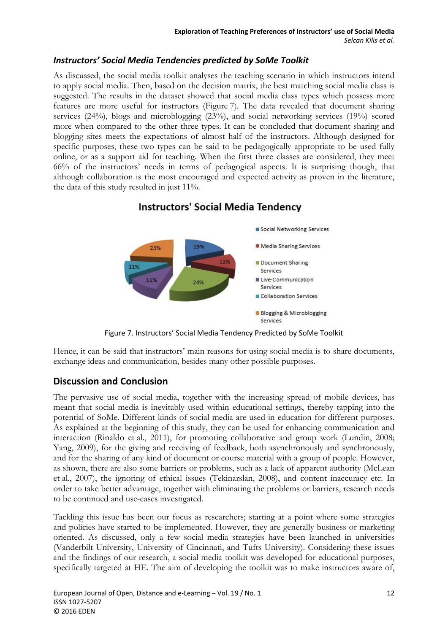# *Instructors' Social Media Tendencies predicted by SoMe Toolkit*

As discussed, the social media toolkit analyses the teaching scenario in which instructors intend to apply social media. Then, based on the decision matrix, the best matching social media class is suggested. The results in the dataset showed that social media class types which possess more features are more useful for instructors (Figure 7). The data revealed that document sharing services (24%), blogs and microblogging (23%), and social networking services (19%) scored more when compared to the other three types. It can be concluded that document sharing and blogging sites meets the expectations of almost half of the instructors. Although designed for specific purposes, these two types can be said to be pedagogically appropriate to be used fully online, or as a support aid for teaching. When the first three classes are considered, they meet 66% of the instructors' needs in terms of pedagogical aspects. It is surprising though, that although collaboration is the most encouraged and expected activity as proven in the literature, the data of this study resulted in just 11%.

#### Social Networking Services Media Sharing Services 23% 19% Document Sharing 11% Services Il Live-Communication 11% 24% Services Collaboration Services **Blogging & Microblogging** Services

# **Instructors' Social Media Tendency**

Figure 7. Instructors' Social Media Tendency Predicted by SoMe Toolkit

Hence, it can be said that instructors' main reasons for using social media is to share documents, exchange ideas and communication, besides many other possible purposes.

# **Discussion and Conclusion**

The pervasive use of social media, together with the increasing spread of mobile devices, has meant that social media is inevitably used within educational settings, thereby tapping into the potential of SoMe. Different kinds of social media are used in education for different purposes. As explained at the beginning of this study, they can be used for enhancing communication and interaction (Rinaldo et al., 2011), for promoting collaborative and group work (Lundin, 2008; Yang, 2009), for the giving and receiving of feedback, both asynchronously and synchronously, and for the sharing of any kind of document or course material with a group of people. However, as shown, there are also some barriers or problems, such as a lack of apparent authority (McLean et al., 2007), the ignoring of ethical issues (Tekinarslan, 2008), and content inaccuracy etc. In order to take better advantage, together with eliminating the problems or barriers, research needs to be continued and use-cases investigated.

Tackling this issue has been our focus as researchers; starting at a point where some strategies and policies have started to be implemented. However, they are generally business or marketing oriented. As discussed, only a few social media strategies have been launched in universities (Vanderbilt University, University of Cincinnati, and Tufts University). Considering these issues and the findings of our research, a social media toolkit was developed for educational purposes, specifically targeted at HE. The aim of developing the toolkit was to make instructors aware of,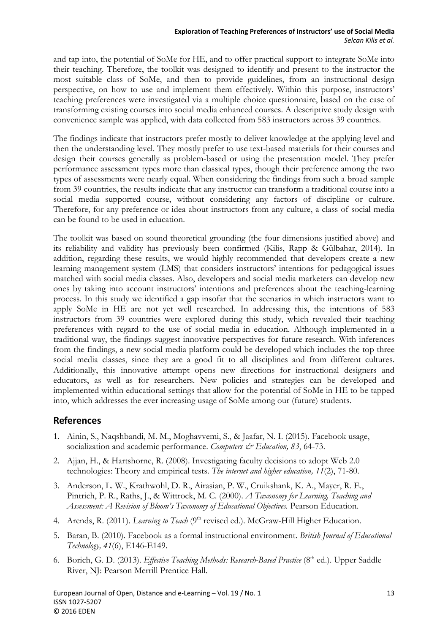and tap into, the potential of SoMe for HE, and to offer practical support to integrate SoMe into their teaching. Therefore, the toolkit was designed to identify and present to the instructor the most suitable class of SoMe, and then to provide guidelines, from an instructional design perspective, on how to use and implement them effectively. Within this purpose, instructors' teaching preferences were investigated via a multiple choice questionnaire, based on the case of transforming existing courses into social media enhanced courses. A descriptive study design with convenience sample was applied, with data collected from 583 instructors across 39 countries.

The findings indicate that instructors prefer mostly to deliver knowledge at the applying level and then the understanding level. They mostly prefer to use text-based materials for their courses and design their courses generally as problem-based or using the presentation model. They prefer performance assessment types more than classical types, though their preference among the two types of assessments were nearly equal. When considering the findings from such a broad sample from 39 countries, the results indicate that any instructor can transform a traditional course into a social media supported course, without considering any factors of discipline or culture. Therefore, for any preference or idea about instructors from any culture, a class of social media can be found to be used in education.

The toolkit was based on sound theoretical grounding (the four dimensions justified above) and its reliability and validity has previously been confirmed (Kilis, Rapp & Gülbahar, 2014). In addition, regarding these results, we would highly recommended that developers create a new learning management system (LMS) that considers instructors' intentions for pedagogical issues matched with social media classes. Also, developers and social media marketers can develop new ones by taking into account instructors' intentions and preferences about the teaching-learning process. In this study we identified a gap insofar that the scenarios in which instructors want to apply SoMe in HE are not yet well researched. In addressing this, the intentions of 583 instructors from 39 countries were explored during this study, which revealed their teaching preferences with regard to the use of social media in education. Although implemented in a traditional way, the findings suggest innovative perspectives for future research. With inferences from the findings, a new social media platform could be developed which includes the top three social media classes, since they are a good fit to all disciplines and from different cultures. Additionally, this innovative attempt opens new directions for instructional designers and educators, as well as for researchers. New policies and strategies can be developed and implemented within educational settings that allow for the potential of SoMe in HE to be tapped into, which addresses the ever increasing usage of SoMe among our (future) students.

# **References**

- 1. Ainin, S., Naqshbandi, M. M., Moghavvemi, S., & Jaafar, N. I. (2015). Facebook usage, socialization and academic performance. *Computers & Education*, 83, 64-73.
- 2. Ajjan, H., & Hartshorne, R. (2008). Investigating faculty decisions to adopt Web 2.0 technologies: Theory and empirical tests. *The internet and higher education, 11*(2), 71-80.
- 3. Anderson, L. W., Krathwohl, D. R., Airasian, P. W., Cruikshank, K. A., Mayer, R. E., Pintrich, P. R., Raths, J., & Wittrock, M. C. (2000). *A Taxonomy for Learning, Teaching and Assessment: A Revision of Bloom's Taxonomy of Educational Objectives.* Pearson Education.
- 4. Arends, R. (2011). *Learning to Teach* (9<sup>th</sup> revised ed.). McGraw-Hill Higher Education.
- 5. Baran, B. (2010). Facebook as a formal instructional environment. *British Journal of Educational Technology, 41*(6), E146-E149.
- 6. Borich, G. D. (2013). *Effective Teaching Methods: Research-Based Practice* (8<sup>th</sup> ed.). Upper Saddle River, NJ: Pearson Merrill Prentice Hall.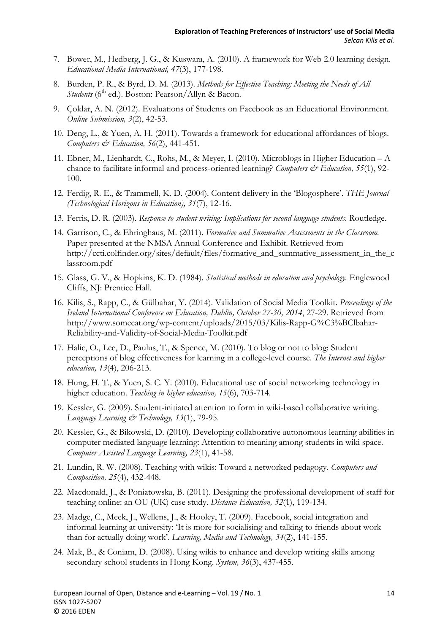- 7. Bower, M., Hedberg, J. G., & Kuswara, A. (2010). A framework for Web 2.0 learning design. *Educational Media International, 47*(3), 177-198.
- 8. Burden, P. R., & Byrd, D. M. (2013). *Methods for Effective Teaching: Meeting the Needs of All Students* (6<sup>th</sup> ed.). Boston: Pearson/Allyn & Bacon.
- 9. Çoklar, A. N. (2012). Evaluations of Students on Facebook as an Educational Environment. *Online Submission, 3*(2), 42-53.
- 10. Deng, L., & Yuen, A. H. (2011). Towards a framework for educational affordances of blogs. *Computers & Education, 56*(2), 441-451.
- 11. Ebner, M., Lienhardt, C., Rohs, M., & Meyer, I. (2010). Microblogs in Higher Education A chance to facilitate informal and process-oriented learning? *Computers & Education*, 55(1), 92-100.
- 12. Ferdig, R. E., & Trammell, K. D. (2004). Content delivery in the 'Blogosphere'. *THE Journal (Technological Horizons in Education), 31*(7), 12-16.
- 13. Ferris, D. R. (2003). *Response to student writing: Implications for second language students.* Routledge.
- 14. Garrison, C., & Ehringhaus, M. (2011). *Formative and Summative Assessments in the Classroom.* Paper presented at the NMSA Annual Conference and Exhibit. Retrieved from http://ccti.colfinder.org/sites/default/files/formative\_and\_summative\_assessment\_in\_the\_c lassroom.pdf
- 15. Glass, G. V., & Hopkins, K. D. (1984). *Statistical methods in education and psychology.* Englewood Cliffs, NJ: Prentice Hall.
- 16. Kilis, S., Rapp, C., & Gülbahar, Y. (2014). Validation of Social Media Toolkit. *Proceedings of the Ireland International Conference on Education, Dublin, October 27-30, 2014*, 27-29. Retrieved from http://www.somecat.org/wp-content/uploads/2015/03/Kilis-Rapp-G%C3%BClbahar-Reliability-and-Validity-of-Social-Media-Toolkit.pdf
- 17. Halic, O., Lee, D., Paulus, T., & Spence, M. (2010). To blog or not to blog: Student perceptions of blog effectiveness for learning in a college-level course. *The Internet and higher education, 13*(4), 206-213.
- 18. Hung, H. T., & Yuen, S. C. Y. (2010). Educational use of social networking technology in higher education. *Teaching in higher education, 15*(6), 703-714.
- 19. Kessler, G. (2009). Student-initiated attention to form in wiki-based collaborative writing. *Language Learning & Technology, 13*(1), 79-95.
- 20. Kessler, G., & Bikowski, D. (2010). Developing collaborative autonomous learning abilities in computer mediated language learning: Attention to meaning among students in wiki space. *Computer Assisted Language Learning, 23*(1), 41-58.
- 21. Lundin, R. W. (2008). Teaching with wikis: Toward a networked pedagogy. *Computers and Composition, 25*(4), 432-448.
- 22. Macdonald, J., & Poniatowska, B. (2011). Designing the professional development of staff for teaching online: an OU (UK) case study. *Distance Education, 32*(1), 119-134.
- 23. Madge, C., Meek, J., Wellens, J., & Hooley, T. (2009). Facebook, social integration and informal learning at university: 'It is more for socialising and talking to friends about work than for actually doing work'. *Learning, Media and Technology, 34*(2), 141-155.
- 24. Mak, B., & Coniam, D. (2008). Using wikis to enhance and develop writing skills among secondary school students in Hong Kong. *System, 36*(3), 437-455.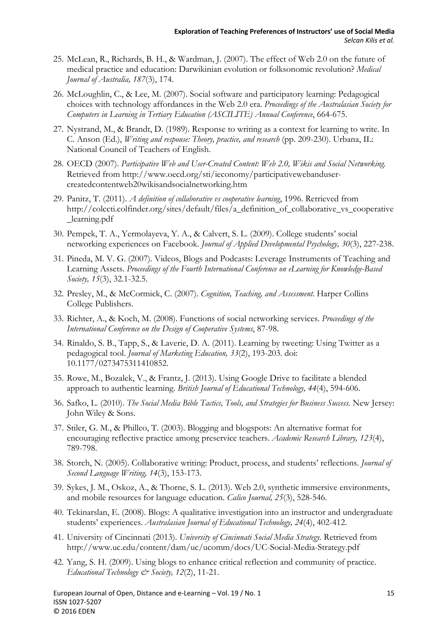- 25. McLean, R., Richards, B. H., & Wardman, J. (2007). The effect of Web 2.0 on the future of medical practice and education: Darwikinian evolution or folksonomic revolution? *Medical Journal of Australia, 187*(3), 174.
- 26. McLoughlin, C., & Lee, M. (2007). Social software and participatory learning: Pedagogical choices with technology affordances in the Web 2.0 era. *Proceedings of the Australasian Society for Computers in Learning in Tertiary Education (ASCILITE) Annual Conference*, 664-675.
- 27. Nystrand, M., & Brandt, D. (1989). Response to writing as a context for learning to write. In C. Anson (Ed.), *Writing and response: Theory, practice, and research* (pp. 209-230). Urbana, IL: National Council of Teachers of English.
- 28. OECD (2007). *Participative Web and User-Created Content: Web 2.0, Wikis and Social Networking.* Retrieved from http://www.oecd.org/sti/ieconomy/participativewebandusercreatedcontentweb20wikisandsocialnetworking.htm
- 29. Panitz, T. (2011). *A definition of collaborative vs cooperative learning*, 1996. Retrieved from http://colccti.colfinder.org/sites/default/files/a\_definition\_of\_collaborative\_vs\_cooperative \_learning.pdf
- 30. Pempek, T. A., Yermolayeva, Y. A., & Calvert, S. L. (2009). College students' social networking experiences on Facebook. *Journal of Applied Developmental Psychology, 30*(3), 227-238.
- 31. Pineda, M. V. G. (2007). Videos, Blogs and Podcasts: Leverage Instruments of Teaching and Learning Assets. *Proceedings of the Fourth International Conference on eLearning for Knowledge-Based Society, 15*(3), 32.1-32.5.
- 32. Presley, M., & McCormick, C. (2007). *Cognition, Teaching, and Assessment.* Harper Collins College Publishers.
- 33. Richter, A., & Koch, M. (2008). Functions of social networking services. *Proceedings of the International Conference on the Design of Cooperative Systems*, 87-98.
- 34. Rinaldo, S. B., Tapp, S., & Laverie, D. A. (2011). Learning by tweeting: Using Twitter as a pedagogical tool. *Journal of Marketing Education, 33*(2), 193-203. doi: 10.1177/0273475311410852.
- 35. Rowe, M., Bozalek, V., & Frantz, J. (2013). Using Google Drive to facilitate a blended approach to authentic learning. *British Journal of Educational Technology, 44*(4), 594-606.
- 36. Safko, L. (2010). *The Social Media Bible Tactics, Tools, and Strategies for Business Success.* New Jersey: John Wiley & Sons.
- 37. Stiler, G. M., & Philleo, T. (2003). Blogging and blogspots: An alternative format for encouraging reflective practice among preservice teachers. *Academic Research Library, 123*(4), 789-798.
- 38. Storch, N. (2005). Collaborative writing: Product, process, and students' reflections. *Journal of Second Language Writing, 14*(3), 153-173.
- 39. Sykes, J. M., Oskoz, A., & Thorne, S. L. (2013). Web 2.0, synthetic immersive environments, and mobile resources for language education. *Calico Journal, 25*(3), 528-546.
- 40. Tekinarslan, E. (2008). Blogs: A qualitative investigation into an instructor and undergraduate students' experiences. *Australasian Journal of Educational Technology, 24*(4), 402-412.
- 41. University of Cincinnati (2013). *University of Cincinnati Social Media Strategy.* Retrieved from http://www.uc.edu/content/dam/uc/ucomm/docs/UC-Social-Media-Strategy.pdf
- 42. Yang, S. H. (2009). Using blogs to enhance critical reflection and community of practice. *Educational Technology & Society, 12*(2), 11-21.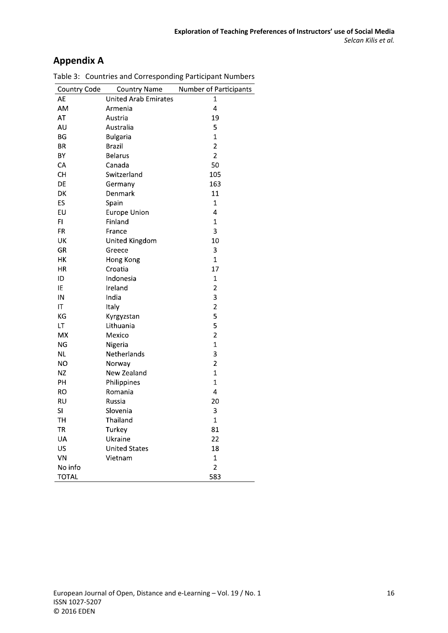# **Appendix A**

| Country Code | <b>Country Name</b>         | Number of Participan    |
|--------------|-----------------------------|-------------------------|
| AE           | <b>United Arab Emirates</b> | $\mathbf 1$             |
| AM           | Armenia                     | 4                       |
| AT           | Austria                     | 19                      |
| AU           | Australia                   | 5                       |
| BG           | <b>Bulgaria</b>             | 1                       |
| <b>BR</b>    | <b>Brazil</b>               | $\overline{2}$          |
| BY           | <b>Belarus</b>              | $\overline{2}$          |
| CA           | Canada                      | 50                      |
| <b>CH</b>    | Switzerland                 | 105                     |
| DE           | Germany                     | 163                     |
| DK           | Denmark                     | 11                      |
| ES           | Spain                       | 1                       |
| EU           | <b>Europe Union</b>         | 4                       |
| FI.          | Finland                     | 1                       |
| <b>FR</b>    | France                      | 3                       |
| UK           | United Kingdom              | 10                      |
| <b>GR</b>    | Greece                      | 3                       |
| HK           | Hong Kong                   | $\mathbf 1$             |
| <b>HR</b>    | Croatia                     | 17                      |
| ID           | Indonesia                   | $\mathbf 1$             |
| ΙE           | Ireland                     | $\overline{2}$          |
| IN           | India                       | 3                       |
| IT           | Italy                       | $\overline{c}$          |
| KG           | Kyrgyzstan                  | 5                       |
| LT           | Lithuania                   | 5                       |
| MX           | Mexico                      | 2                       |
| <b>NG</b>    | Nigeria                     | $\mathbf{1}$            |
| <b>NL</b>    | Netherlands                 | 3                       |
| NO           | Norway                      | $\overline{\mathbf{c}}$ |
| <b>NZ</b>    | New Zealand                 | $\mathbf 1$             |
| PH           | Philippines                 | $\mathbf{1}$            |
| <b>RO</b>    | Romania                     | 4                       |
| RU           | Russia                      | 20                      |
| <b>SI</b>    | Slovenia                    | 3                       |
| TН           | Thailand                    | $\mathbf{1}$            |
| TR           | Turkey                      | 81                      |
| UA           | Ukraine                     | 22                      |
| US           | <b>United States</b>        | 18                      |
| VN           | Vietnam                     | $\mathbf 1$             |
| No info      |                             | $\overline{2}$          |
| <b>TOTAL</b> |                             | 583                     |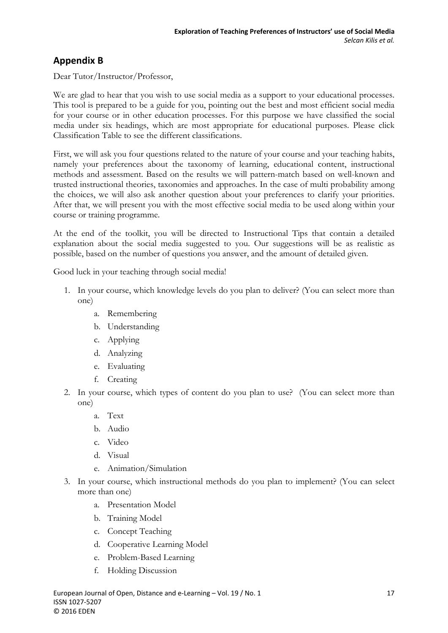# **Appendix B**

Dear Tutor/Instructor/Professor,

We are glad to hear that you wish to use social media as a support to your educational processes. This tool is prepared to be a guide for you, pointing out the best and most efficient social media for your course or in other education processes. For this purpose we have classified the social media under six headings, which are most appropriate for educational purposes. Please click Classification Table to see the different classifications.

First, we will ask you four questions related to the nature of your course and your teaching habits, namely your preferences about the taxonomy of learning, educational content, instructional methods and assessment. Based on the results we will pattern-match based on well-known and trusted instructional theories, taxonomies and approaches. In the case of multi probability among the choices, we will also ask another question about your preferences to clarify your priorities. After that, we will present you with the most effective social media to be used along within your course or training programme.

At the end of the toolkit, you will be directed to Instructional Tips that contain a detailed explanation about the social media suggested to you. Our suggestions will be as realistic as possible, based on the number of questions you answer, and the amount of detailed given.

Good luck in your teaching through social media!

- 1. In your course, which knowledge levels do you plan to deliver? (You can select more than one)
	- a. Remembering
	- b. Understanding
	- c. Applying
	- d. Analyzing
	- e. Evaluating
	- f. Creating
- 2. In your course, which types of content do you plan to use? (You can select more than one)
	- a. Text
	- b. Audio
	- c. Video
	- d. Visual
	- e. Animation/Simulation
- 3. In your course, which instructional methods do you plan to implement? (You can select more than one)
	- a. Presentation Model
	- b. Training Model
	- c. Concept Teaching
	- d. Cooperative Learning Model
	- e. Problem-Based Learning
	- f. Holding Discussion